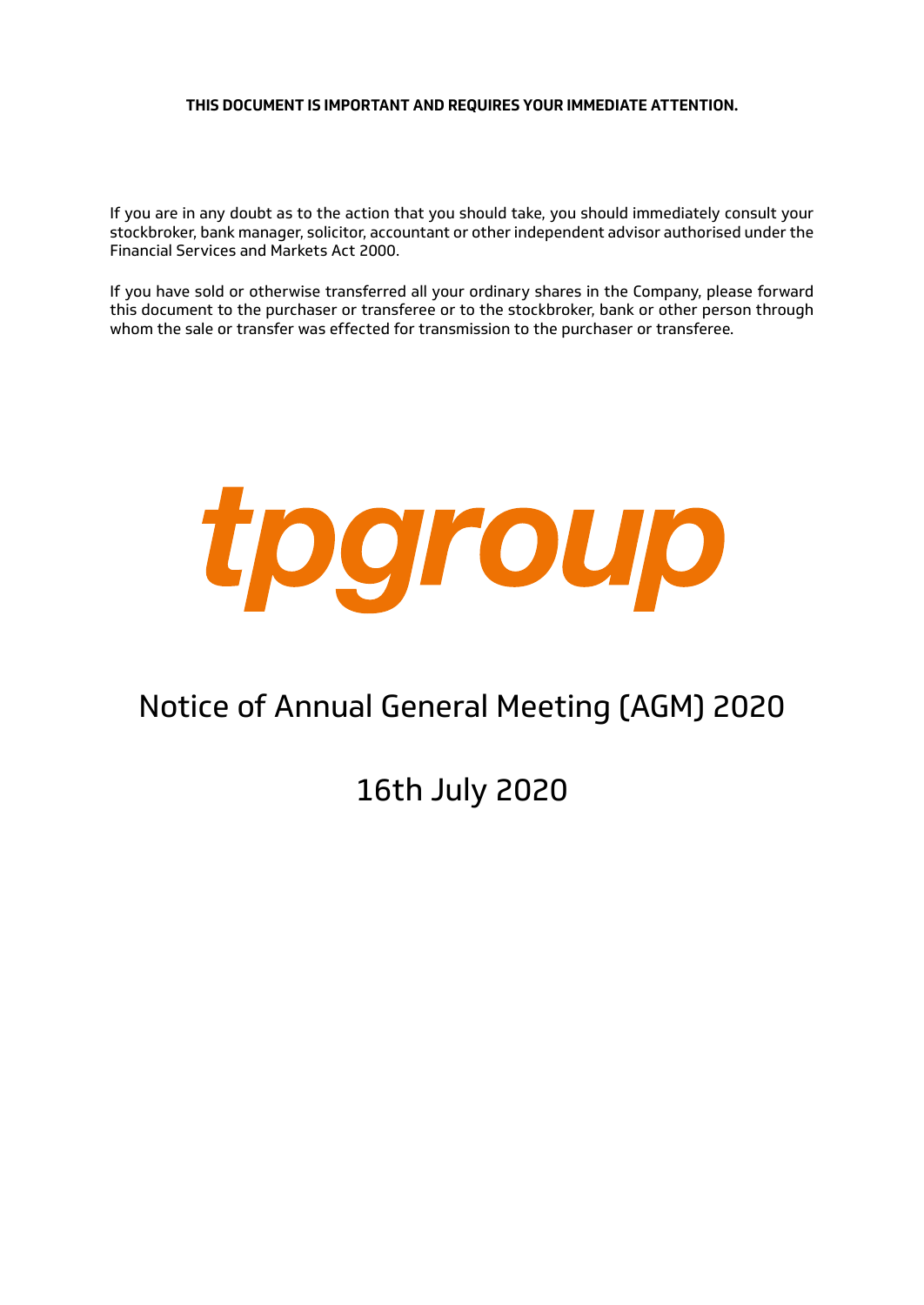# **THIS DOCUMENT IS IMPORTANT AND REQUIRES YOUR IMMEDIATE ATTENTION.**

If you are in any doubt as to the action that you should take, you should immediately consult your stockbroker, bank manager, solicitor, accountant or other independent advisor authorised under the Financial Services and Markets Act 2000.

If you have sold or otherwise transferred all your ordinary shares in the Company, please forward this document to the purchaser or transferee or to the stockbroker, bank or other person through whom the sale or transfer was effected for transmission to the purchaser or transferee.



# Notice of Annual General Meeting (AGM) 2020

16th July 2020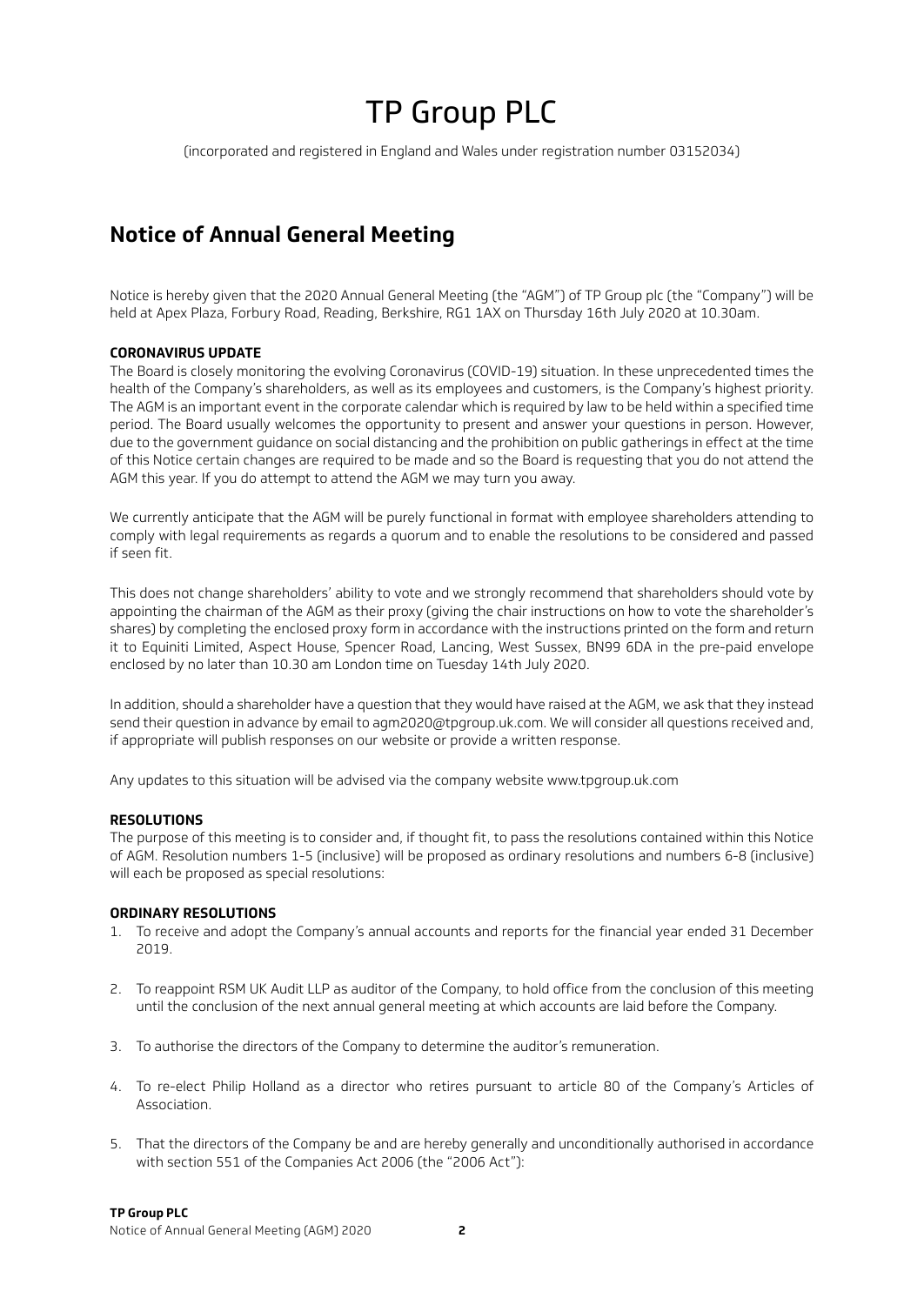# TP Group PLC

(incorporated and registered in England and Wales under registration number 03152034)

# **Notice of Annual General Meeting**

Notice is hereby given that the 2020 Annual General Meeting (the "AGM") of TP Group plc (the "Company") will be held at Apex Plaza, Forbury Road, Reading, Berkshire, RG1 1AX on Thursday 16th July 2020 at 10.30am.

#### **CORONAVIRUS UPDATE**

The Board is closely monitoring the evolving Coronavirus (COVID-19) situation. In these unprecedented times the health of the Company's shareholders, as well as its employees and customers, is the Company's highest priority. The AGM is an important event in the corporate calendar which is required by law to be held within a specified time period. The Board usually welcomes the opportunity to present and answer your questions in person. However, due to the government guidance on social distancing and the prohibition on public gatherings in effect at the time of this Notice certain changes are required to be made and so the Board is requesting that you do not attend the AGM this year. If you do attempt to attend the AGM we may turn you away.

We currently anticipate that the AGM will be purely functional in format with employee shareholders attending to comply with legal requirements as regards a quorum and to enable the resolutions to be considered and passed if seen fit.

This does not change shareholders' ability to vote and we strongly recommend that shareholders should vote by appointing the chairman of the AGM as their proxy (giving the chair instructions on how to vote the shareholder's shares) by completing the enclosed proxy form in accordance with the instructions printed on the form and return it to Equiniti Limited, Aspect House, Spencer Road, Lancing, West Sussex, BN99 6DA in the pre-paid envelope enclosed by no later than 10.30 am London time on Tuesday 14th July 2020.

In addition, should a shareholder have a question that they would have raised at the AGM, we ask that they instead send their question in advance by email to agm2020@tpgroup.uk.com. We will consider all questions received and, if appropriate will publish responses on our website or provide a written response.

Any updates to this situation will be advised via the company website www.tpgroup.uk.com

#### **RESOLUTIONS**

The purpose of this meeting is to consider and, if thought fit, to pass the resolutions contained within this Notice of AGM. Resolution numbers 1-5 (inclusive) will be proposed as ordinary resolutions and numbers 6-8 (inclusive) will each be proposed as special resolutions:

#### **ORDINARY RESOLUTIONS**

- 1. To receive and adopt the Company's annual accounts and reports for the financial year ended 31 December 2019.
- 2. To reappoint RSM UK Audit LLP as auditor of the Company, to hold office from the conclusion of this meeting until the conclusion of the next annual general meeting at which accounts are laid before the Company.
- 3. To authorise the directors of the Company to determine the auditor's remuneration.
- 4. To re-elect Philip Holland as a director who retires pursuant to article 80 of the Company's Articles of Association.
- 5. That the directors of the Company be and are hereby generally and unconditionally authorised in accordance with section 551 of the Companies Act 2006 (the "2006 Act"):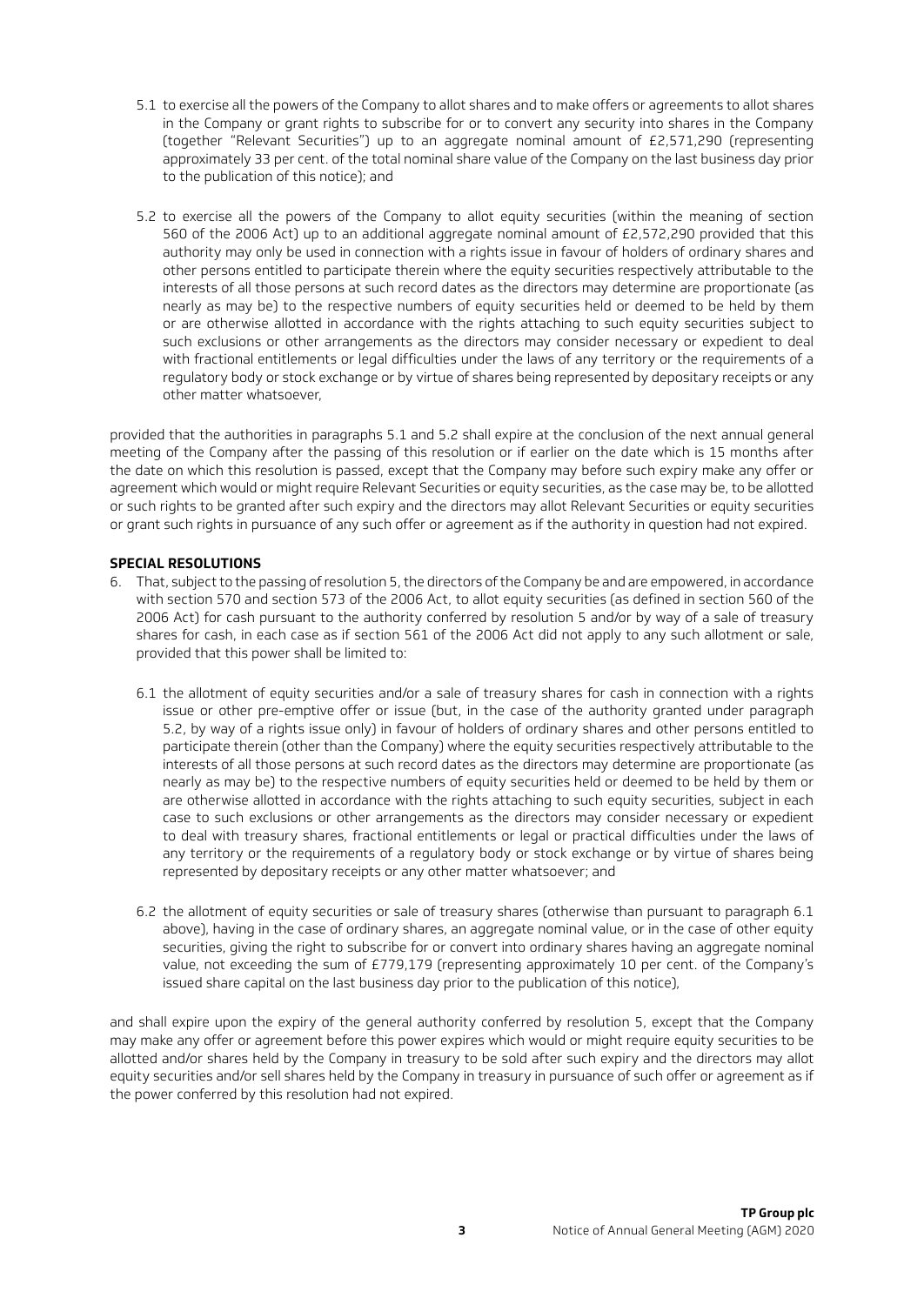- 5.1 to exercise all the powers of the Company to allot shares and to make offers or agreements to allot shares in the Company or grant rights to subscribe for or to convert any security into shares in the Company (together "Relevant Securities") up to an aggregate nominal amount of £2,571,290 (representing approximately 33 per cent. of the total nominal share value of the Company on the last business day prior to the publication of this notice); and
- 5.2 to exercise all the powers of the Company to allot equity securities (within the meaning of section 560 of the 2006 Act) up to an additional aggregate nominal amount of £2,572,290 provided that this authority may only be used in connection with a rights issue in favour of holders of ordinary shares and other persons entitled to participate therein where the equity securities respectively attributable to the interests of all those persons at such record dates as the directors may determine are proportionate (as nearly as may be) to the respective numbers of equity securities held or deemed to be held by them or are otherwise allotted in accordance with the rights attaching to such equity securities subject to such exclusions or other arrangements as the directors may consider necessary or expedient to deal with fractional entitlements or legal difficulties under the laws of any territory or the requirements of a regulatory body or stock exchange or by virtue of shares being represented by depositary receipts or any other matter whatsoever,

provided that the authorities in paragraphs 5.1 and 5.2 shall expire at the conclusion of the next annual general meeting of the Company after the passing of this resolution or if earlier on the date which is 15 months after the date on which this resolution is passed, except that the Company may before such expiry make any offer or agreement which would or might require Relevant Securities or equity securities, as the case may be, to be allotted or such rights to be granted after such expiry and the directors may allot Relevant Securities or equity securities or grant such rights in pursuance of any such offer or agreement as if the authority in question had not expired.

## **SPECIAL RESOLUTIONS**

- 6. That, subject to the passing of resolution 5, the directors of the Company be and are empowered, in accordance with section 570 and section 573 of the 2006 Act, to allot equity securities (as defined in section 560 of the 2006 Act) for cash pursuant to the authority conferred by resolution 5 and/or by way of a sale of treasury shares for cash, in each case as if section 561 of the 2006 Act did not apply to any such allotment or sale, provided that this power shall be limited to:
	- 6.1 the allotment of equity securities and/or a sale of treasury shares for cash in connection with a rights issue or other pre-emptive offer or issue (but, in the case of the authority granted under paragraph 5.2, by way of a rights issue only) in favour of holders of ordinary shares and other persons entitled to participate therein (other than the Company) where the equity securities respectively attributable to the interests of all those persons at such record dates as the directors may determine are proportionate (as nearly as may be) to the respective numbers of equity securities held or deemed to be held by them or are otherwise allotted in accordance with the rights attaching to such equity securities, subject in each case to such exclusions or other arrangements as the directors may consider necessary or expedient to deal with treasury shares, fractional entitlements or legal or practical difficulties under the laws of any territory or the requirements of a regulatory body or stock exchange or by virtue of shares being represented by depositary receipts or any other matter whatsoever; and
	- 6.2 the allotment of equity securities or sale of treasury shares (otherwise than pursuant to paragraph 6.1 above), having in the case of ordinary shares, an aggregate nominal value, or in the case of other equity securities, giving the right to subscribe for or convert into ordinary shares having an aggregate nominal value, not exceeding the sum of £779,179 (representing approximately 10 per cent. of the Company's issued share capital on the last business day prior to the publication of this notice),

and shall expire upon the expiry of the general authority conferred by resolution 5, except that the Company may make any offer or agreement before this power expires which would or might require equity securities to be allotted and/or shares held by the Company in treasury to be sold after such expiry and the directors may allot equity securities and/or sell shares held by the Company in treasury in pursuance of such offer or agreement as if the power conferred by this resolution had not expired.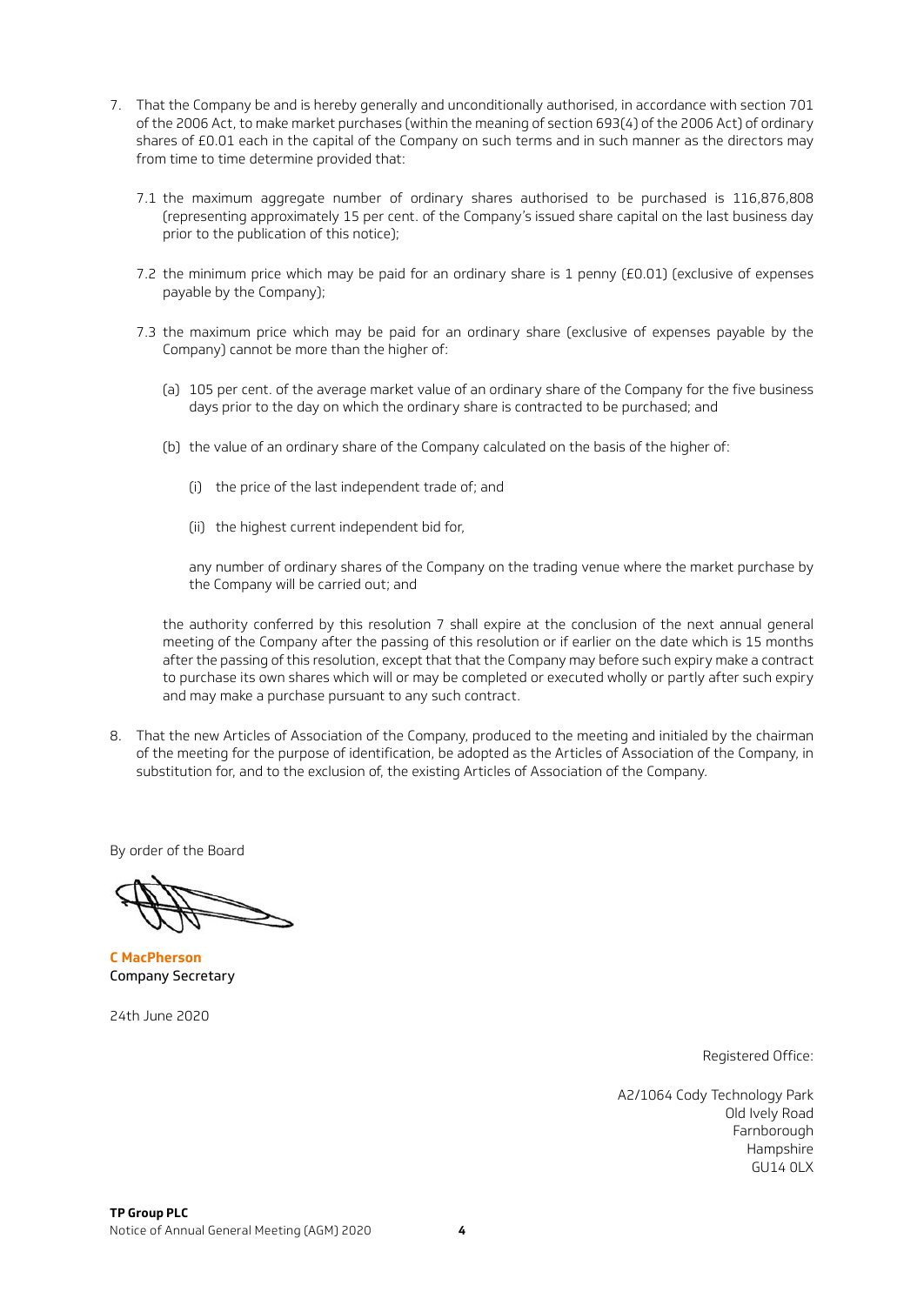- 7. That the Company be and is hereby generally and unconditionally authorised, in accordance with section 701 of the 2006 Act, to make market purchases (within the meaning of section 693(4) of the 2006 Act) of ordinary shares of £0.01 each in the capital of the Company on such terms and in such manner as the directors may from time to time determine provided that:
	- 7.1 the maximum aggregate number of ordinary shares authorised to be purchased is 116,876,808 (representing approximately 15 per cent. of the Company's issued share capital on the last business day prior to the publication of this notice);
	- 7.2 the minimum price which may be paid for an ordinary share is 1 penny (£0.01) (exclusive of expenses payable by the Company);
	- 7.3 the maximum price which may be paid for an ordinary share (exclusive of expenses payable by the Company) cannot be more than the higher of:
		- (a) 105 per cent. of the average market value of an ordinary share of the Company for the five business days prior to the day on which the ordinary share is contracted to be purchased; and
		- (b) the value of an ordinary share of the Company calculated on the basis of the higher of:
			- (i) the price of the last independent trade of; and
			- (ii) the highest current independent bid for,

any number of ordinary shares of the Company on the trading venue where the market purchase by the Company will be carried out; and

the authority conferred by this resolution 7 shall expire at the conclusion of the next annual general meeting of the Company after the passing of this resolution or if earlier on the date which is 15 months after the passing of this resolution, except that that the Company may before such expiry make a contract to purchase its own shares which will or may be completed or executed wholly or partly after such expiry and may make a purchase pursuant to any such contract.

8. That the new Articles of Association of the Company, produced to the meeting and initialed by the chairman of the meeting for the purpose of identification, be adopted as the Articles of Association of the Company, in substitution for, and to the exclusion of, the existing Articles of Association of the Company.

By order of the Board

**C MacPherson**  Company Secretary

24th June 2020

Registered Office:

A2/1064 Cody Technology Park Old Ively Road Farnborough Hampshire  $GUI14$   $OIX$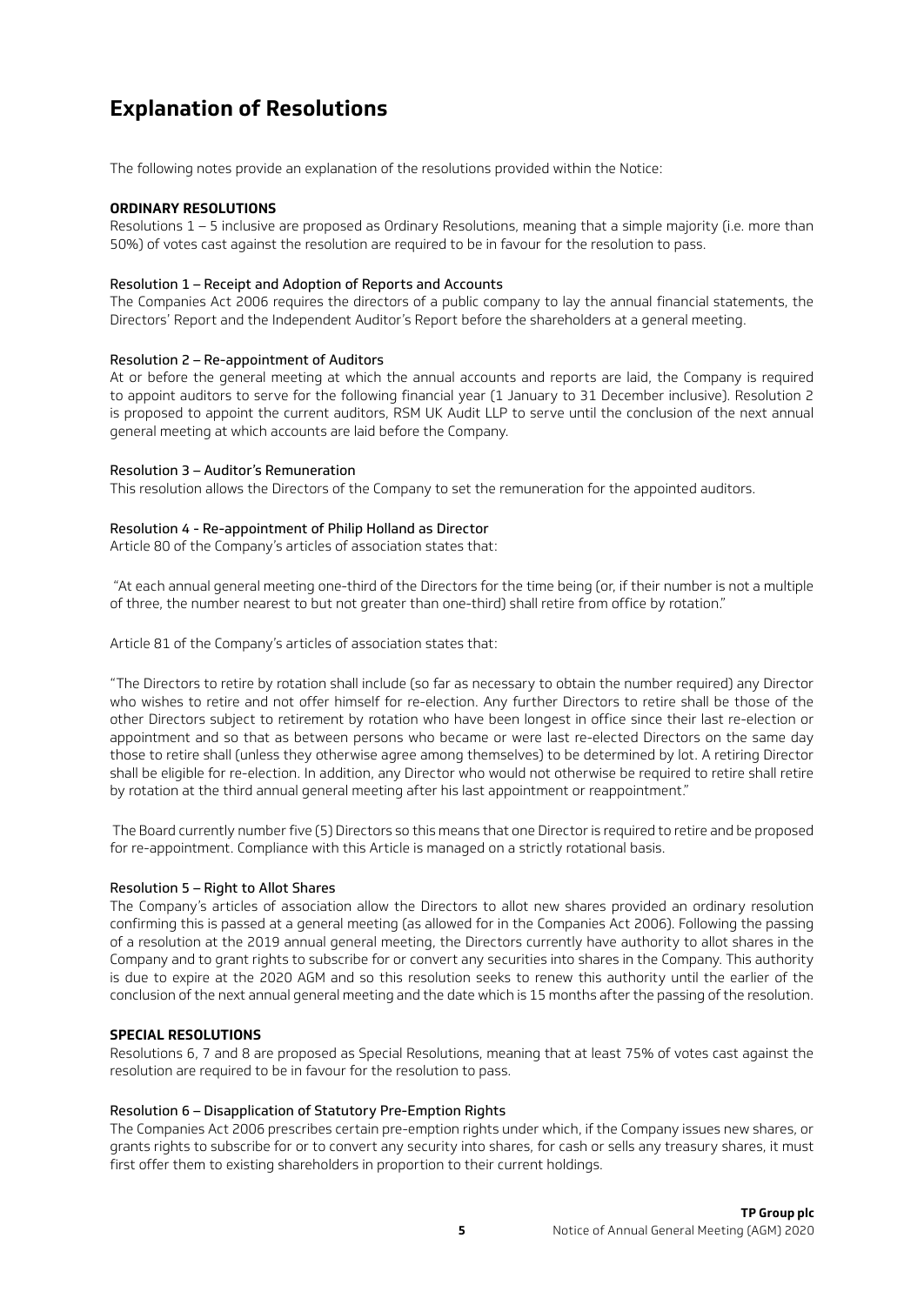# **Explanation of Resolutions**

The following notes provide an explanation of the resolutions provided within the Notice:

#### **ORDINARY RESOLUTIONS**

Resolutions 1 – 5 inclusive are proposed as Ordinary Resolutions, meaning that a simple majority (i.e. more than 50%) of votes cast against the resolution are required to be in favour for the resolution to pass.

#### Resolution 1 – Receipt and Adoption of Reports and Accounts

The Companies Act 2006 requires the directors of a public company to lay the annual financial statements, the Directors' Report and the Independent Auditor's Report before the shareholders at a general meeting.

#### Resolution 2 – Re-appointment of Auditors

At or before the general meeting at which the annual accounts and reports are laid, the Company is required to appoint auditors to serve for the following financial year (1 January to 31 December inclusive). Resolution 2 is proposed to appoint the current auditors, RSM UK Audit LLP to serve until the conclusion of the next annual general meeting at which accounts are laid before the Company.

#### Resolution 3 – Auditor's Remuneration

This resolution allows the Directors of the Company to set the remuneration for the appointed auditors.

#### Resolution 4 - Re-appointment of Philip Holland as Director

Article 80 of the Company's articles of association states that:

 "At each annual general meeting one-third of the Directors for the time being (or, if their number is not a multiple of three, the number nearest to but not greater than one-third) shall retire from office by rotation."

Article 81 of the Company's articles of association states that:

"The Directors to retire by rotation shall include (so far as necessary to obtain the number required) any Director who wishes to retire and not offer himself for re-election. Any further Directors to retire shall be those of the other Directors subject to retirement by rotation who have been longest in office since their last re-election or appointment and so that as between persons who became or were last re-elected Directors on the same day those to retire shall (unless they otherwise agree among themselves) to be determined by lot. A retiring Director shall be eligible for re-election. In addition, any Director who would not otherwise be required to retire shall retire by rotation at the third annual general meeting after his last appointment or reappointment."

 The Board currently number five (5) Directors so this means that one Director is required to retire and be proposed for re-appointment. Compliance with this Article is managed on a strictly rotational basis.

## Resolution 5 – Right to Allot Shares

The Company's articles of association allow the Directors to allot new shares provided an ordinary resolution confirming this is passed at a general meeting (as allowed for in the Companies Act 2006). Following the passing of a resolution at the 2019 annual general meeting, the Directors currently have authority to allot shares in the Company and to grant rights to subscribe for or convert any securities into shares in the Company. This authority is due to expire at the 2020 AGM and so this resolution seeks to renew this authority until the earlier of the conclusion of the next annual general meeting and the date which is 15 months after the passing of the resolution.

#### **SPECIAL RESOLUTIONS**

Resolutions 6, 7 and 8 are proposed as Special Resolutions, meaning that at least 75% of votes cast against the resolution are required to be in favour for the resolution to pass.

#### Resolution 6 – Disapplication of Statutory Pre-Emption Rights

The Companies Act 2006 prescribes certain pre-emption rights under which, if the Company issues new shares, or grants rights to subscribe for or to convert any security into shares, for cash or sells any treasury shares, it must first offer them to existing shareholders in proportion to their current holdings.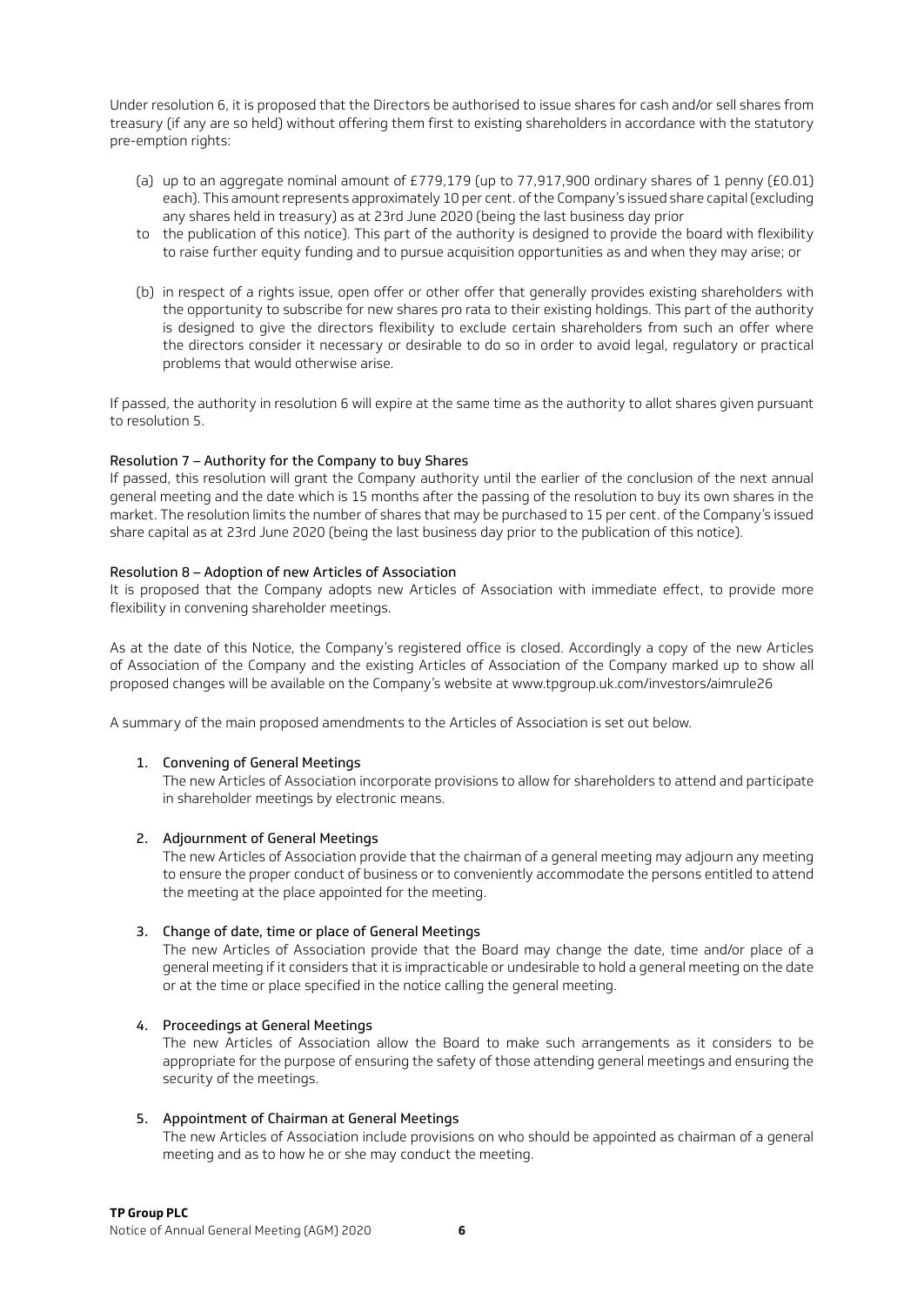Under resolution 6, it is proposed that the Directors be authorised to issue shares for cash and/or sell shares from treasury (if any are so held) without offering them first to existing shareholders in accordance with the statutory pre-emption rights:

- (a) up to an aggregate nominal amount of £779,179 (up to 77,917,900 ordinary shares of 1 penny (£0.01) each). This amount represents approximately 10 per cent. of the Company's issued share capital (excluding any shares held in treasury) as at 23rd June 2020 (being the last business day prior
- to the publication of this notice). This part of the authority is designed to provide the board with flexibility to raise further equity funding and to pursue acquisition opportunities as and when they may arise; or
- (b) in respect of a rights issue, open offer or other offer that generally provides existing shareholders with the opportunity to subscribe for new shares pro rata to their existing holdings. This part of the authority is designed to give the directors flexibility to exclude certain shareholders from such an offer where the directors consider it necessary or desirable to do so in order to avoid legal, regulatory or practical problems that would otherwise arise.

If passed, the authority in resolution 6 will expire at the same time as the authority to allot shares given pursuant to resolution 5.

### Resolution 7 – Authority for the Company to buy Shares

If passed, this resolution will grant the Company authority until the earlier of the conclusion of the next annual general meeting and the date which is 15 months after the passing of the resolution to buy its own shares in the market. The resolution limits the number of shares that may be purchased to 15 per cent. of the Company's issued share capital as at 23rd June 2020 (being the last business day prior to the publication of this notice).

### Resolution 8 – Adoption of new Articles of Association

It is proposed that the Company adopts new Articles of Association with immediate effect, to provide more flexibility in convening shareholder meetings.

As at the date of this Notice, the Company's registered office is closed. Accordingly a copy of the new Articles of Association of the Company and the existing Articles of Association of the Company marked up to show all proposed changes will be available on the Company's website at www.tpgroup.uk.com/investors/aimrule26

A summary of the main proposed amendments to the Articles of Association is set out below.

#### 1. Convening of General Meetings

The new Articles of Association incorporate provisions to allow for shareholders to attend and participate in shareholder meetings by electronic means.

#### 2. Adjournment of General Meetings

The new Articles of Association provide that the chairman of a general meeting may adjourn any meeting to ensure the proper conduct of business or to conveniently accommodate the persons entitled to attend the meeting at the place appointed for the meeting.

#### 3. Change of date, time or place of General Meetings

The new Articles of Association provide that the Board may change the date, time and/or place of a general meeting if it considers that it is impracticable or undesirable to hold a general meeting on the date or at the time or place specified in the notice calling the general meeting.

#### 4. Proceedings at General Meetings

The new Articles of Association allow the Board to make such arrangements as it considers to be appropriate for the purpose of ensuring the safety of those attending general meetings and ensuring the security of the meetings.

#### 5. Appointment of Chairman at General Meetings

The new Articles of Association include provisions on who should be appointed as chairman of a general meeting and as to how he or she may conduct the meeting.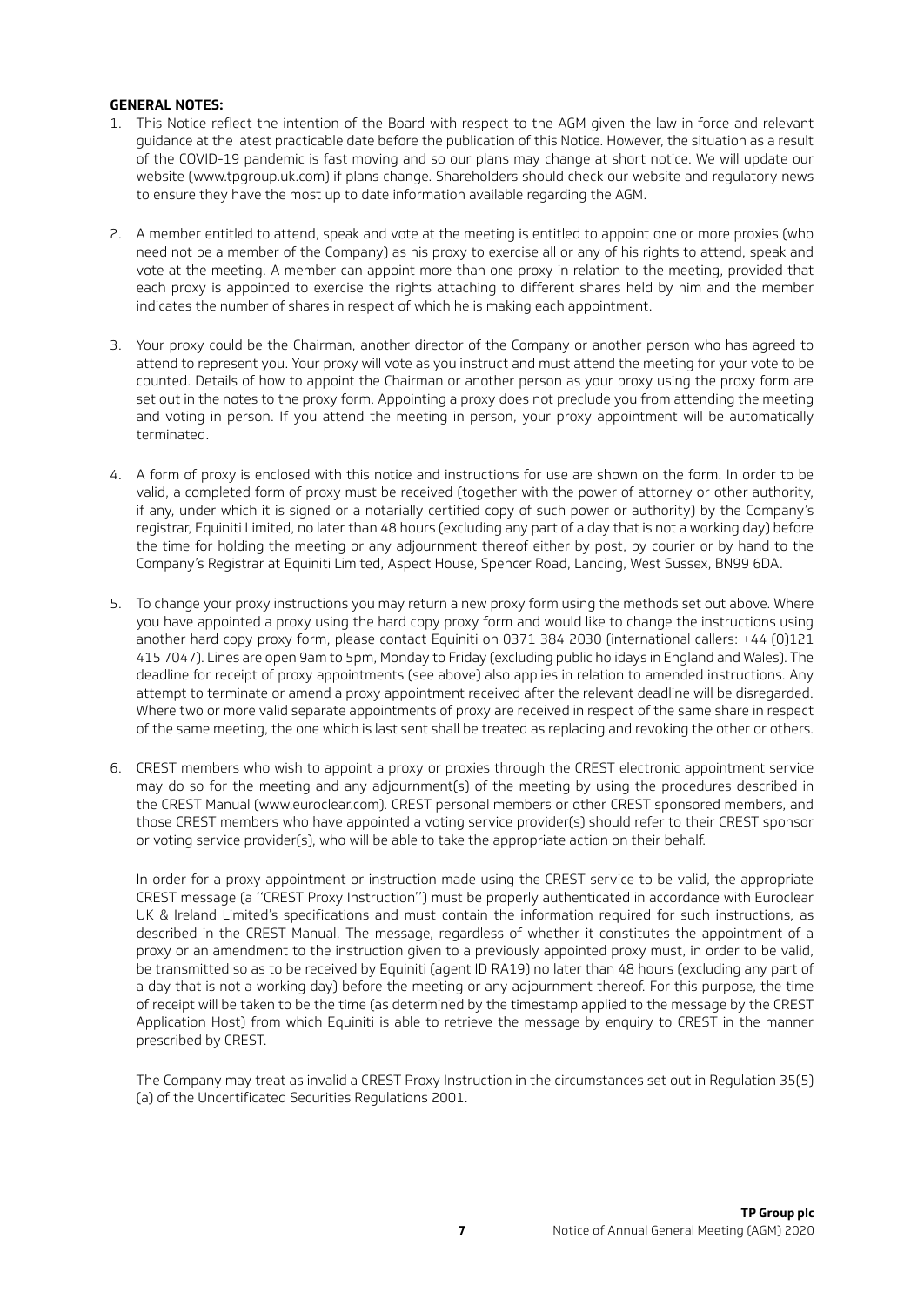#### **GENERAL NOTES:**

- 1. This Notice reflect the intention of the Board with respect to the AGM given the law in force and relevant guidance at the latest practicable date before the publication of this Notice. However, the situation as a result of the COVID-19 pandemic is fast moving and so our plans may change at short notice. We will update our website (www.tpgroup.uk.com) if plans change. Shareholders should check our website and regulatory news to ensure they have the most up to date information available regarding the AGM.
- 2. A member entitled to attend, speak and vote at the meeting is entitled to appoint one or more proxies (who need not be a member of the Company) as his proxy to exercise all or any of his rights to attend, speak and vote at the meeting. A member can appoint more than one proxy in relation to the meeting, provided that each proxy is appointed to exercise the rights attaching to different shares held by him and the member indicates the number of shares in respect of which he is making each appointment.
- 3. Your proxy could be the Chairman, another director of the Company or another person who has agreed to attend to represent you. Your proxy will vote as you instruct and must attend the meeting for your vote to be counted. Details of how to appoint the Chairman or another person as your proxy using the proxy form are set out in the notes to the proxy form. Appointing a proxy does not preclude you from attending the meeting and voting in person. If you attend the meeting in person, your proxy appointment will be automatically terminated.
- 4. A form of proxy is enclosed with this notice and instructions for use are shown on the form. In order to be valid, a completed form of proxy must be received (together with the power of attorney or other authority, if any, under which it is signed or a notarially certified copy of such power or authority) by the Company's registrar, Equiniti Limited, no later than 48 hours (excluding any part of a day that is not a working day) before the time for holding the meeting or any adjournment thereof either by post, by courier or by hand to the Company's Registrar at Equiniti Limited, Aspect House, Spencer Road, Lancing, West Sussex, BN99 6DA.
- 5. To change your proxy instructions you may return a new proxy form using the methods set out above. Where you have appointed a proxy using the hard copy proxy form and would like to change the instructions using another hard copy proxy form, please contact Equiniti on 0371 384 2030 (international callers: +44 (0)121 415 7047). Lines are open 9am to 5pm, Monday to Friday (excluding public holidays in England and Wales). The deadline for receipt of proxy appointments (see above) also applies in relation to amended instructions. Any attempt to terminate or amend a proxy appointment received after the relevant deadline will be disregarded. Where two or more valid separate appointments of proxy are received in respect of the same share in respect of the same meeting, the one which is last sent shall be treated as replacing and revoking the other or others.
- 6. CREST members who wish to appoint a proxy or proxies through the CREST electronic appointment service may do so for the meeting and any adjournment(s) of the meeting by using the procedures described in the CREST Manual (www.euroclear.com). CREST personal members or other CREST sponsored members, and those CREST members who have appointed a voting service provider(s) should refer to their CREST sponsor or voting service provider(s), who will be able to take the appropriate action on their behalf.

In order for a proxy appointment or instruction made using the CREST service to be valid, the appropriate CREST message (a ''CREST Proxy Instruction'') must be properly authenticated in accordance with Euroclear UK & Ireland Limited's specifications and must contain the information required for such instructions, as described in the CREST Manual. The message, regardless of whether it constitutes the appointment of a proxy or an amendment to the instruction given to a previously appointed proxy must, in order to be valid, be transmitted so as to be received by Equiniti (agent ID RA19) no later than 48 hours (excluding any part of a day that is not a working day) before the meeting or any adjournment thereof. For this purpose, the time of receipt will be taken to be the time (as determined by the timestamp applied to the message by the CREST Application Host) from which Equiniti is able to retrieve the message by enquiry to CREST in the manner prescribed by CREST.

The Company may treat as invalid a CREST Proxy Instruction in the circumstances set out in Regulation 35(5) (a) of the Uncertificated Securities Regulations 2001.